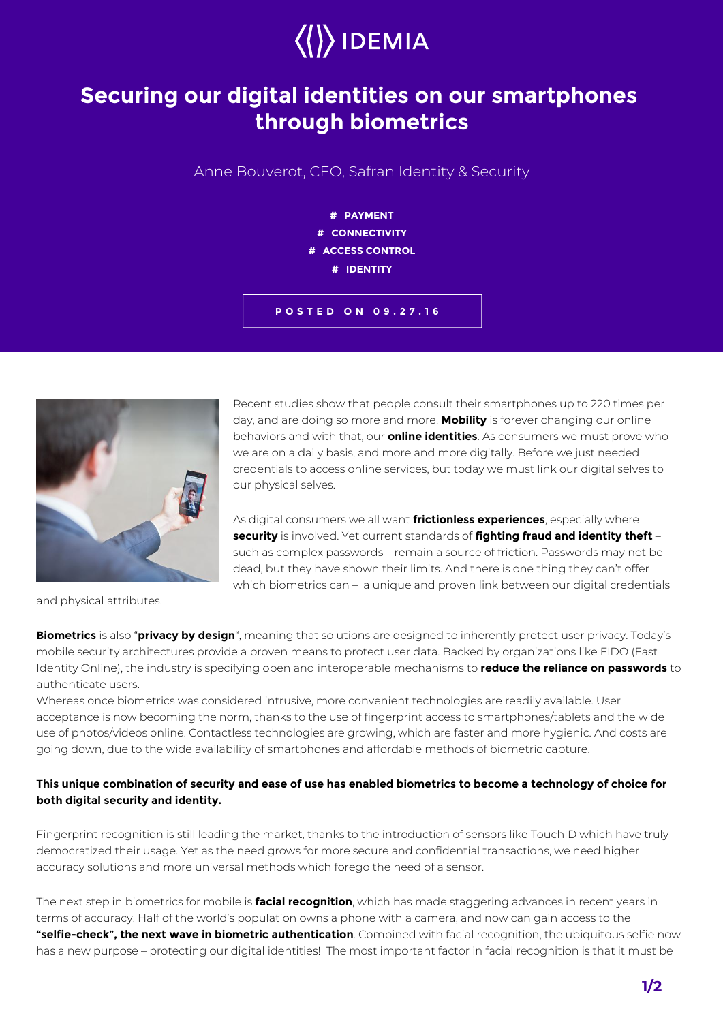

## **Securing our digital identities on our smartphones through biometrics**

Anne Bouverot, CEO, Safran Identity & Security



**POSTED ON 09.27.16**



Recent studies show that people consult their smartphones up to 220 times per day, and are doing so more and more. **Mobility** is forever changing our online behaviors and with that, our **online identities**. As consumers we must prove who we are on a daily basis, and more and more digitally. Before we just needed credentials to access online services, but today we must link our digital selves to our physical selves.

As digital consumers we all want **frictionless experiences**, especially where **security** is involved. Yet current standards of **fighting fraud and identity theft** – such as complex passwords – remain a source of friction. Passwords may not be dead, but they have shown their limits. And there is one thing they can't offer which biometrics can - a unique and proven link between our digital credentials

and physical attributes.

**Biometrics** is also "**privacy by design**", meaning that solutions are designed to inherently protect user privacy. Today's mobile security architectures provide a proven means to protect user data. Backed by organizations like FIDO (Fast Identity Online), the industry is specifying open and interoperable mechanisms to **reduce the reliance on passwords** to authenticate users.

Whereas once biometrics was considered intrusive, more convenient technologies are readily available. User acceptance is now becoming the norm, thanks to the use of fingerprint access to smartphones/tablets and the wide use of photos/videos online. Contactless technologies are growing, which are faster and more hygienic. And costs are going down, due to the wide availability of smartphones and affordable methods of biometric capture.

## **This unique combination of security and ease of use has enabled biometrics to become a technology of choice for both digital security and identity.**

Fingerprint recognition is still leading the market, thanks to the introduction of sensors like TouchID which have truly democratized their usage. Yet as the need grows for more secure and confidential transactions, we need higher accuracy solutions and more universal methods which forego the need of a sensor.

The next step in biometrics for mobile is **facial recognition**, which has made staggering advances in recent years in terms of accuracy. Half of the world's population owns a phone with a camera, and now can gain access to the **"selfie-check", the next wave in biometric authentication**. Combined with facial recognition, the ubiquitous selfie now has a new purpose – protecting our digital identities! The most important factor in facial recognition is that it must be

**1/2**